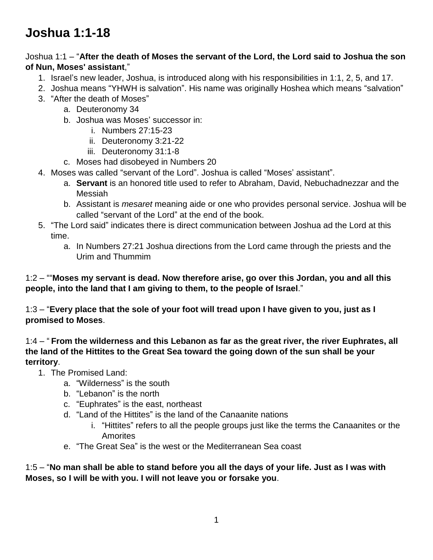## **Joshua 1:1-18**

## Joshua 1:1 – "**After the death of Moses the servant of the Lord, the Lord said to Joshua the son of Nun, Moses' assistant**,"

- 1. Israel's new leader, Joshua, is introduced along with his responsibilities in 1:1, 2, 5, and 17.
- 2. Joshua means "YHWH is salvation". His name was originally Hoshea which means "salvation"
- 3. "After the death of Moses"
	- a. Deuteronomy 34
	- b. Joshua was Moses' successor in:
		- i. Numbers 27:15-23
		- ii. Deuteronomy 3:21-22
		- iii. Deuteronomy 31:1-8
	- c. Moses had disobeyed in Numbers 20
- 4. Moses was called "servant of the Lord". Joshua is called "Moses' assistant".
	- a. **Servant** is an honored title used to refer to Abraham, David, Nebuchadnezzar and the Messiah
	- b. Assistant is *mesaret* meaning aide or one who provides personal service. Joshua will be called "servant of the Lord" at the end of the book.
- 5. "The Lord said" indicates there is direct communication between Joshua ad the Lord at this time.
	- a. In Numbers 27:21 Joshua directions from the Lord came through the priests and the Urim and Thummim

1:2 – ""**Moses my servant is dead. Now therefore arise, go over this Jordan, you and all this people, into the land that I am giving to them, to the people of Israel**."

1:3 – "**Every place that the sole of your foot will tread upon I have given to you, just as I promised to Moses**.

1:4 – " **From the wilderness and this Lebanon as far as the great river, the river Euphrates, all the land of the Hittites to the Great Sea toward the going down of the sun shall be your territory**.

- 1. The Promised Land:
	- a. "Wilderness" is the south
	- b. "Lebanon" is the north
	- c. "Euphrates" is the east, northeast
	- d. "Land of the Hittites" is the land of the Canaanite nations
		- i. "Hittites" refers to all the people groups just like the terms the Canaanites or the **Amorites**
	- e. "The Great Sea" is the west or the Mediterranean Sea coast

1:5 – "**No man shall be able to stand before you all the days of your life. Just as I was with Moses, so I will be with you. I will not leave you or forsake you**.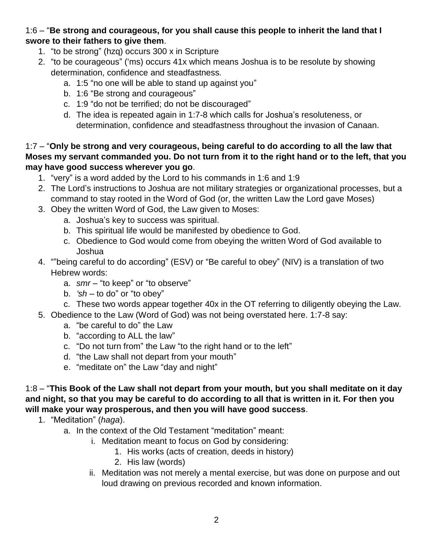## 1:6 – "**Be strong and courageous, for you shall cause this people to inherit the land that I swore to their fathers to give them**.

- 1. "to be strong" (hzq) occurs 300 x in Scripture
- 2. "to be courageous" ('ms) occurs 41x which means Joshua is to be resolute by showing determination, confidence and steadfastness.
	- a. 1:5 "no one will be able to stand up against you"
	- b. 1:6 "Be strong and courageous"
	- c. 1:9 "do not be terrified; do not be discouraged"
	- d. The idea is repeated again in 1:7-8 which calls for Joshua's resoluteness, or determination, confidence and steadfastness throughout the invasion of Canaan.

1:7 – "**Only be strong and very courageous, being careful to do according to all the law that Moses my servant commanded you. Do not turn from it to the right hand or to the left, that you may have good success wherever you go**.

- 1. "very" is a word added by the Lord to his commands in 1:6 and 1:9
- 2. The Lord's instructions to Joshua are not military strategies or organizational processes, but a command to stay rooted in the Word of God (or, the written Law the Lord gave Moses)
- 3. Obey the written Word of God, the Law given to Moses:
	- a. Joshua's key to success was spiritual.
	- b. This spiritual life would be manifested by obedience to God.
	- c. Obedience to God would come from obeying the written Word of God available to Joshua
- 4. ""being careful to do according" (ESV) or "Be careful to obey" (NIV) is a translation of two Hebrew words:
	- a. *smr* "to keep" or "to observe"
	- b. *'sh* to do" or "to obey"
	- c. These two words appear together 40x in the OT referring to diligently obeying the Law.
- 5. Obedience to the Law (Word of God) was not being overstated here. 1:7-8 say:
	- a. "be careful to do" the Law
	- b. "according to ALL the law"
	- c. "Do not turn from" the Law "to the right hand or to the left"
	- d. "the Law shall not depart from your mouth"
	- e. "meditate on" the Law "day and night"

1:8 – "**This Book of the Law shall not depart from your mouth, but you shall meditate on it day and night, so that you may be careful to do according to all that is written in it. For then you will make your way prosperous, and then you will have good success**.

- 1. "Meditation" (*haga*).
	- a. In the context of the Old Testament "meditation" meant:
		- i. Meditation meant to focus on God by considering:
			- 1. His works (acts of creation, deeds in history)
			- 2. His law (words)
		- ii. Meditation was not merely a mental exercise, but was done on purpose and out loud drawing on previous recorded and known information.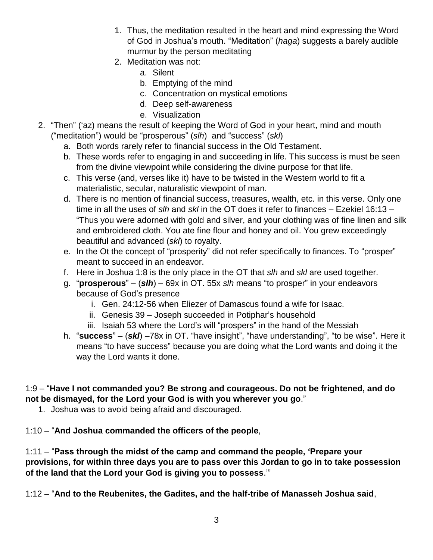- 1. Thus, the meditation resulted in the heart and mind expressing the Word of God in Joshua's mouth. "Meditation" (*haga*) suggests a barely audible murmur by the person meditating
- 2. Meditation was not:
	- a. Silent
	- b. Emptying of the mind
	- c. Concentration on mystical emotions
	- d. Deep self-awareness
	- e. Visualization
- 2. "Then" ('az) means the result of keeping the Word of God in your heart, mind and mouth ("meditation") would be "prosperous" (*slh*) and "success" (*skl*)
	- a. Both words rarely refer to financial success in the Old Testament.
	- b. These words refer to engaging in and succeeding in life. This success is must be seen from the divine viewpoint while considering the divine purpose for that life.
	- c. This verse (and, verses like it) have to be twisted in the Western world to fit a materialistic, secular, naturalistic viewpoint of man.
	- d. There is no mention of financial success, treasures, wealth, etc. in this verse. Only one time in all the uses of *slh* and *skl* in the OT does it refer to finances – Ezekiel 16:13 – "Thus you were adorned with gold and silver, and your clothing was of fine linen and silk and embroidered cloth. You ate fine flour and honey and oil. You grew exceedingly beautiful and advanced (*skl*) to royalty.
	- e. In the Ot the concept of "prosperity" did not refer specifically to finances. To "prosper" meant to succeed in an endeavor.
	- f. Here in Joshua 1:8 is the only place in the OT that *slh* and *skl* are used together.
	- g. "**prosperous**" (*slh*) 69x in OT. 55x *slh* means "to prosper" in your endeavors because of God's presence
		- i. Gen. 24:12-56 when Eliezer of Damascus found a wife for Isaac.
		- ii. Genesis 39 Joseph succeeded in Potiphar's household
		- iii. Isaiah 53 where the Lord's will "prospers" in the hand of the Messiah
	- h. "**success**" (*skl*) –78x in OT. "have insight", "have understanding", "to be wise". Here it means "to have success" because you are doing what the Lord wants and doing it the way the Lord wants it done.

## 1:9 – "**Have I not commanded you? Be strong and courageous. Do not be frightened, and do not be dismayed, for the Lord your God is with you wherever you go**."

1. Joshua was to avoid being afraid and discouraged.

1:10 – "**And Joshua commanded the officers of the people**,

1:11 – "**Pass through the midst of the camp and command the people, 'Prepare your provisions, for within three days you are to pass over this Jordan to go in to take possession of the land that the Lord your God is giving you to possess**.'"

1:12 – "**And to the Reubenites, the Gadites, and the half-tribe of Manasseh Joshua said**,